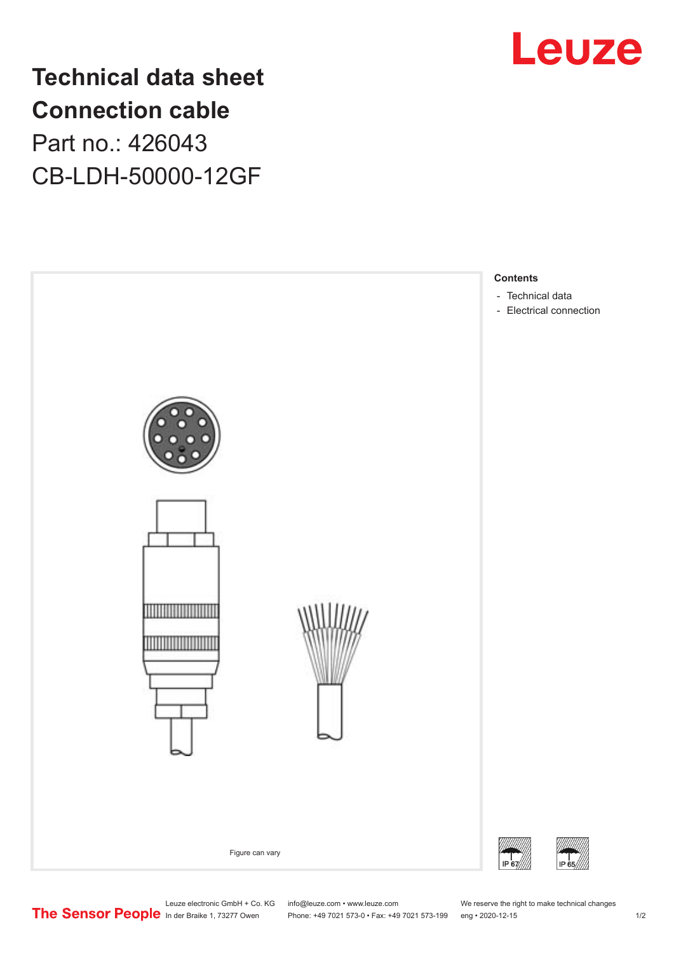

# **Technical data sheet Connection cable** Part no.: 426043 CB-LDH-50000-12GF



Leuze electronic GmbH + Co. KG info@leuze.com • www.leuze.com We reserve the right to make technical changes In der Braike 1, 73277 Owen Phone: +49 7021 573-0 • Fax: +49 7021 573-199 eng • 2020-12-15 1 /2